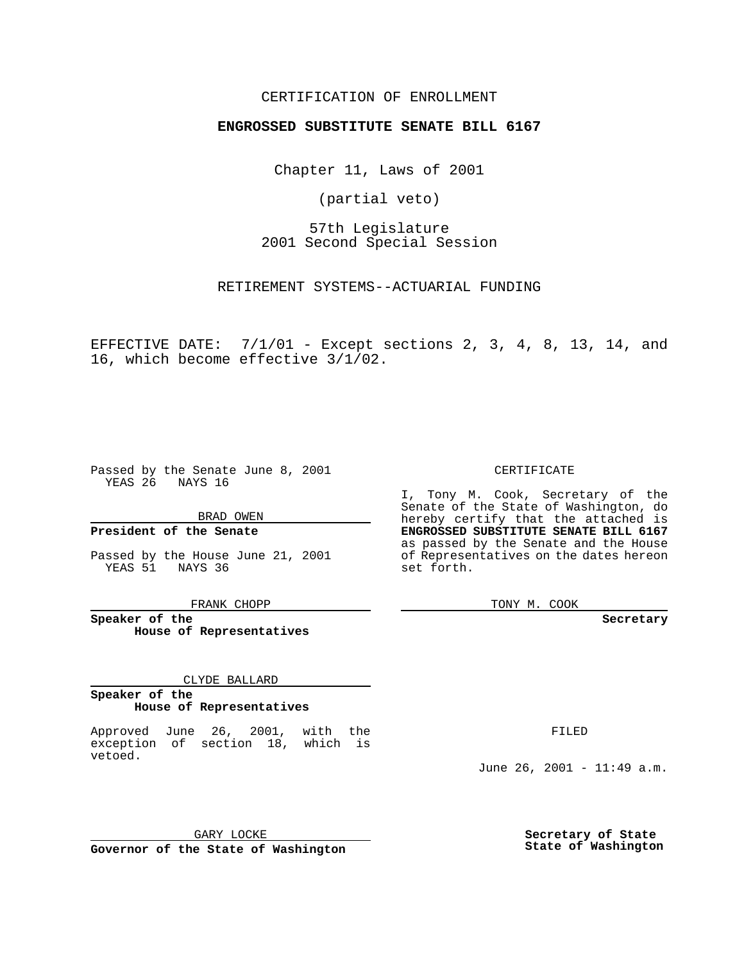### CERTIFICATION OF ENROLLMENT

## **ENGROSSED SUBSTITUTE SENATE BILL 6167**

Chapter 11, Laws of 2001

(partial veto)

57th Legislature 2001 Second Special Session

RETIREMENT SYSTEMS--ACTUARIAL FUNDING

EFFECTIVE DATE: 7/1/01 - Except sections 2, 3, 4, 8, 13, 14, and 16, which become effective 3/1/02.

Passed by the Senate June 8, 2001 YEAS 26 NAYS 16

#### BRAD OWEN

## **President of the Senate**

Passed by the House June 21, 2001 YEAS 51 NAYS 36

FRANK CHOPP

**Speaker of the House of Representatives**

#### CLYDE BALLARD

## **Speaker of the House of Representatives**

Approved June 26, 2001, with the exception of section 18, which is vetoed.

CERTIFICATE

I, Tony M. Cook, Secretary of the Senate of the State of Washington, do hereby certify that the attached is **ENGROSSED SUBSTITUTE SENATE BILL 6167** as passed by the Senate and the House of Representatives on the dates hereon set forth.

TONY M. COOK

#### **Secretary**

FILED

June 26, 2001 - 11:49 a.m.

GARY LOCKE **Governor of the State of Washington** **Secretary of State State of Washington**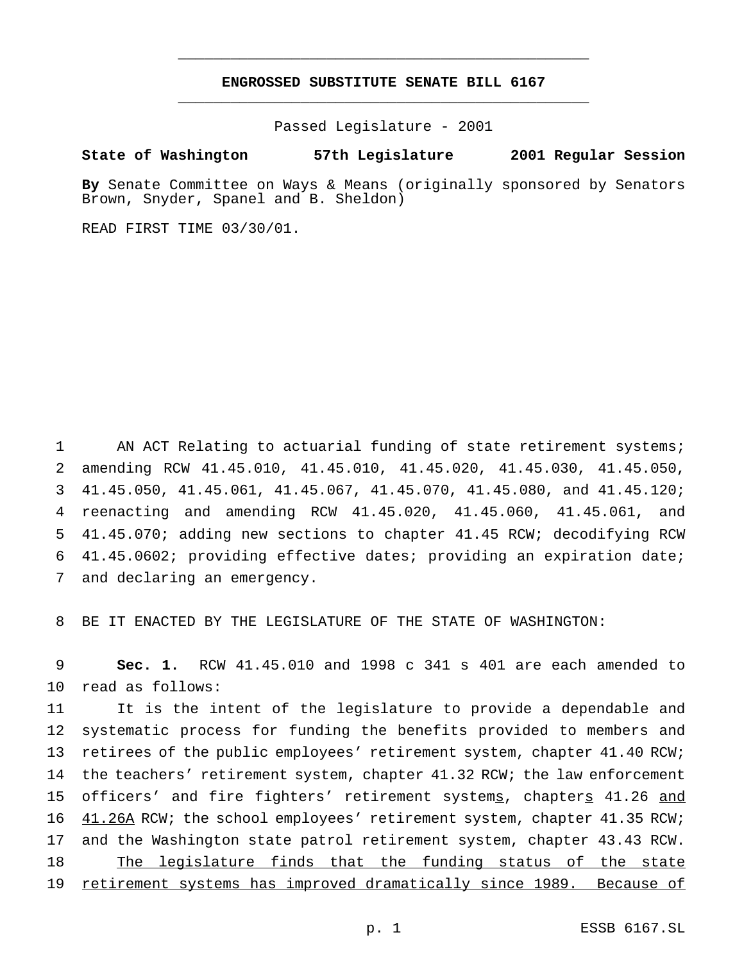# **ENGROSSED SUBSTITUTE SENATE BILL 6167** \_\_\_\_\_\_\_\_\_\_\_\_\_\_\_\_\_\_\_\_\_\_\_\_\_\_\_\_\_\_\_\_\_\_\_\_\_\_\_\_\_\_\_\_\_\_\_

\_\_\_\_\_\_\_\_\_\_\_\_\_\_\_\_\_\_\_\_\_\_\_\_\_\_\_\_\_\_\_\_\_\_\_\_\_\_\_\_\_\_\_\_\_\_\_

Passed Legislature - 2001

**State of Washington 57th Legislature 2001 Regular Session**

**By** Senate Committee on Ways & Means (originally sponsored by Senators Brown, Snyder, Spanel and B. Sheldon)

READ FIRST TIME 03/30/01.

 AN ACT Relating to actuarial funding of state retirement systems; amending RCW 41.45.010, 41.45.010, 41.45.020, 41.45.030, 41.45.050, 41.45.050, 41.45.061, 41.45.067, 41.45.070, 41.45.080, and 41.45.120; reenacting and amending RCW 41.45.020, 41.45.060, 41.45.061, and 41.45.070; adding new sections to chapter 41.45 RCW; decodifying RCW 41.45.0602; providing effective dates; providing an expiration date; and declaring an emergency.

8 BE IT ENACTED BY THE LEGISLATURE OF THE STATE OF WASHINGTON:

9 **Sec. 1.** RCW 41.45.010 and 1998 c 341 s 401 are each amended to 10 read as follows:

 It is the intent of the legislature to provide a dependable and systematic process for funding the benefits provided to members and 13 retirees of the public employees' retirement system, chapter 41.40 RCW; 14 the teachers' retirement system, chapter 41.32 RCW; the law enforcement 15 officers' and fire fighters' retirement systems, chapters 41.26 and  $41.26A$  RCW; the school employees' retirement system, chapter 41.35 RCW; and the Washington state patrol retirement system, chapter 43.43 RCW. The legislature finds that the funding status of the state retirement systems has improved dramatically since 1989. Because of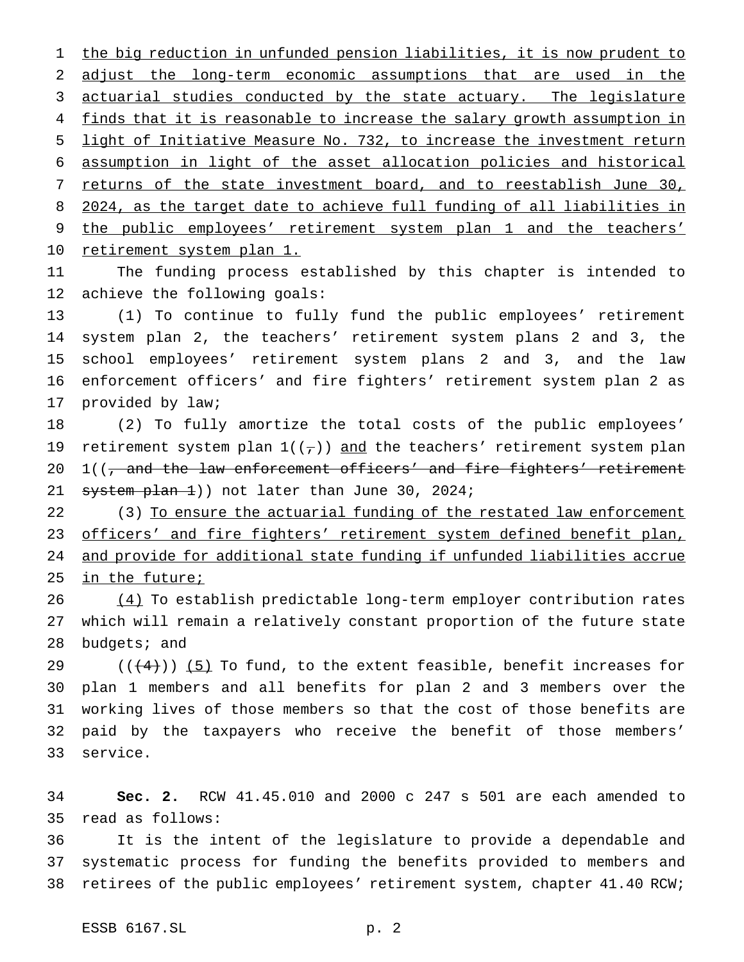the big reduction in unfunded pension liabilities, it is now prudent to adjust the long-term economic assumptions that are used in the actuarial studies conducted by the state actuary. The legislature 4 finds that it is reasonable to increase the salary growth assumption in light of Initiative Measure No. 732, to increase the investment return assumption in light of the asset allocation policies and historical 7 returns of the state investment board, and to reestablish June 30, 2024, as the target date to achieve full funding of all liabilities in the public employees' retirement system plan 1 and the teachers' 10 retirement system plan 1.

 The funding process established by this chapter is intended to achieve the following goals:

 (1) To continue to fully fund the public employees' retirement system plan 2, the teachers' retirement system plans 2 and 3, the school employees' retirement system plans 2 and 3, and the law enforcement officers' and fire fighters' retirement system plan 2 as provided by law;

 (2) To fully amortize the total costs of the public employees' 19 retirement system plan  $1((7))$  and the teachers' retirement system plan  $1((\text{ and the law enforcement officers'} and fire figures' returns')$  $s$ ystem plan  $\pm$ )) not later than June 30, 2024;

22 (3) To ensure the actuarial funding of the restated law enforcement 23 officers' and fire fighters' retirement system defined benefit plan, and provide for additional state funding if unfunded liabilities accrue in the future;

26 (4) To establish predictable long-term employer contribution rates which will remain a relatively constant proportion of the future state budgets; and

 $((+4))$  (5) To fund, to the extent feasible, benefit increases for plan 1 members and all benefits for plan 2 and 3 members over the working lives of those members so that the cost of those benefits are paid by the taxpayers who receive the benefit of those members' service.

 **Sec. 2.** RCW 41.45.010 and 2000 c 247 s 501 are each amended to read as follows:

 It is the intent of the legislature to provide a dependable and systematic process for funding the benefits provided to members and retirees of the public employees' retirement system, chapter 41.40 RCW;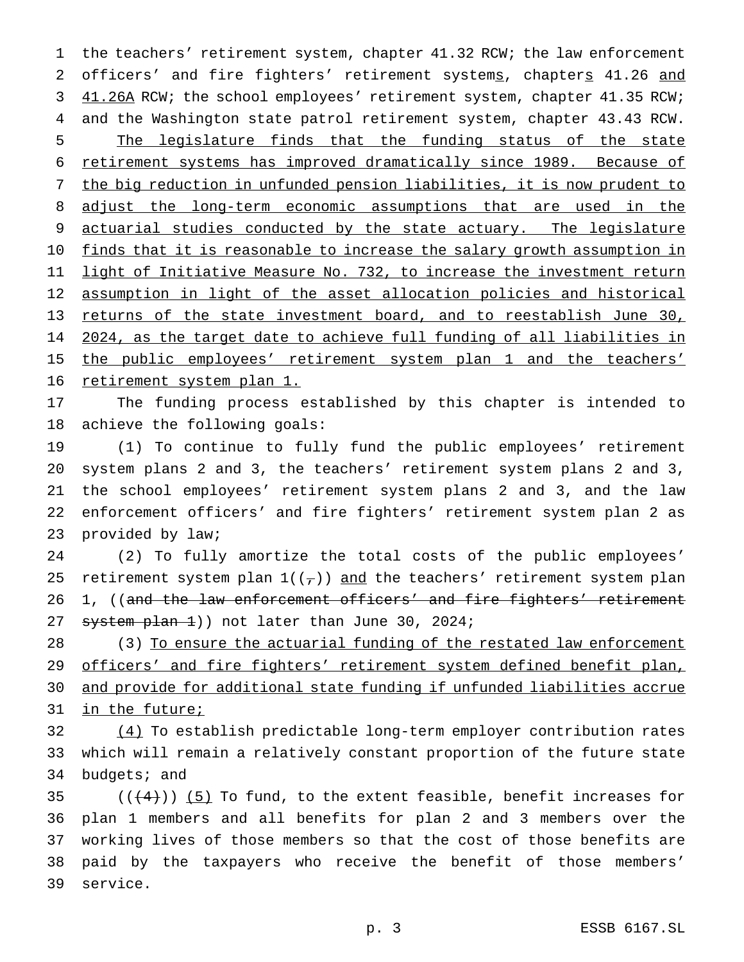1 the teachers' retirement system, chapter 41.32 RCW; the law enforcement 2 officers' and fire fighters' retirement systems, chapters 41.26 and 3 41.26A RCW; the school employees' retirement system, chapter 41.35 RCW; 4 and the Washington state patrol retirement system, chapter 43.43 RCW. 5 The legislature finds that the funding status of the state 6 retirement systems has improved dramatically since 1989. Because of 7 the big reduction in unfunded pension liabilities, it is now prudent to 8 adjust the long-term economic assumptions that are used in the 9 actuarial studies conducted by the state actuary. The legislature 10 finds that it is reasonable to increase the salary growth assumption in 11 light of Initiative Measure No. 732, to increase the investment return 12 assumption in light of the asset allocation policies and historical 13 returns of the state investment board, and to reestablish June 30, 14 2024, as the target date to achieve full funding of all liabilities in 15 the public employees' retirement system plan 1 and the teachers' 16 retirement system plan 1.

17 The funding process established by this chapter is intended to 18 achieve the following goals:

 (1) To continue to fully fund the public employees' retirement system plans 2 and 3, the teachers' retirement system plans 2 and 3, the school employees' retirement system plans 2 and 3, and the law enforcement officers' and fire fighters' retirement system plan 2 as provided by law;

24 (2) To fully amortize the total costs of the public employees' 25 retirement system plan  $1((7))$  and the teachers' retirement system plan 26 1, ((and the law enforcement officers' and fire fighters' retirement 27 system plan 1)) not later than June 30, 2024;

28 (3) To ensure the actuarial funding of the restated law enforcement 29 officers' and fire fighters' retirement system defined benefit plan, 30 and provide for additional state funding if unfunded liabilities accrue 31 in the future;

32 (4) To establish predictable long-term employer contribution rates 33 which will remain a relatively constant proportion of the future state 34 budgets; and

 $((4+))$  (5) To fund, to the extent feasible, benefit increases for plan 1 members and all benefits for plan 2 and 3 members over the working lives of those members so that the cost of those benefits are paid by the taxpayers who receive the benefit of those members' 39 service.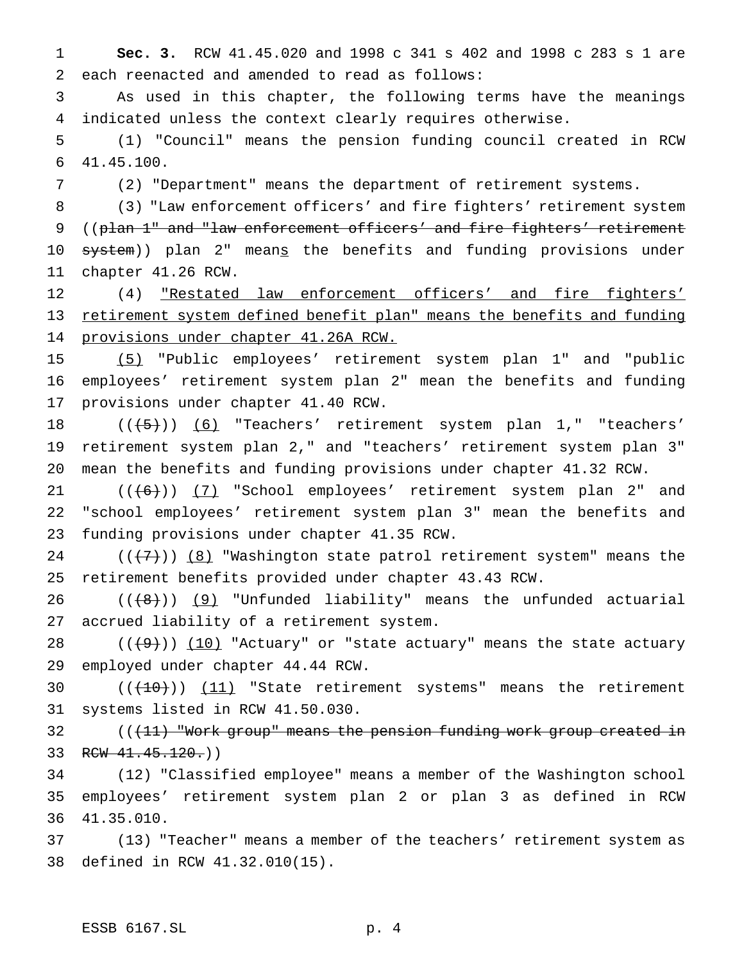**Sec. 3.** RCW 41.45.020 and 1998 c 341 s 402 and 1998 c 283 s 1 are each reenacted and amended to read as follows:

 As used in this chapter, the following terms have the meanings indicated unless the context clearly requires otherwise.

 (1) "Council" means the pension funding council created in RCW 41.45.100.

(2) "Department" means the department of retirement systems.

 (3) "Law enforcement officers' and fire fighters' retirement system 9 ((plan 1" and "law enforcement officers' and fire fighters' retirement 10 system)) plan 2" means the benefits and funding provisions under chapter 41.26 RCW.

12 (4) "Restated law enforcement officers' and fire fighters' retirement system defined benefit plan" means the benefits and funding provisions under chapter 41.26A RCW.

 (5) "Public employees' retirement system plan 1" and "public employees' retirement system plan 2" mean the benefits and funding provisions under chapter 41.40 RCW.

18 (((5)) (6) "Teachers' retirement system plan 1," "teachers' retirement system plan 2," and "teachers' retirement system plan 3" mean the benefits and funding provisions under chapter 41.32 RCW.

 $((+6))$   $(7)$  "School employees' retirement system plan 2" and "school employees' retirement system plan 3" mean the benefits and funding provisions under chapter 41.35 RCW.

 $((+7))$   $(8)$  "Washington state patrol retirement system" means the retirement benefits provided under chapter 43.43 RCW.

 $((+8))$   $(9)$  "Unfunded liability" means the unfunded actuarial accrued liability of a retirement system.

 $((+9))$   $(10)$  "Actuary" or "state actuary" means the state actuary employed under chapter 44.44 RCW.

30  $((+10))$   $(11)$  "State retirement systems" means the retirement systems listed in RCW 41.50.030.

32 ((<del>(11) "Work group" means the pension funding work group created in</del> 33 RCW 41.45.120.)

 (12) "Classified employee" means a member of the Washington school employees' retirement system plan 2 or plan 3 as defined in RCW 41.35.010.

 (13) "Teacher" means a member of the teachers' retirement system as defined in RCW 41.32.010(15).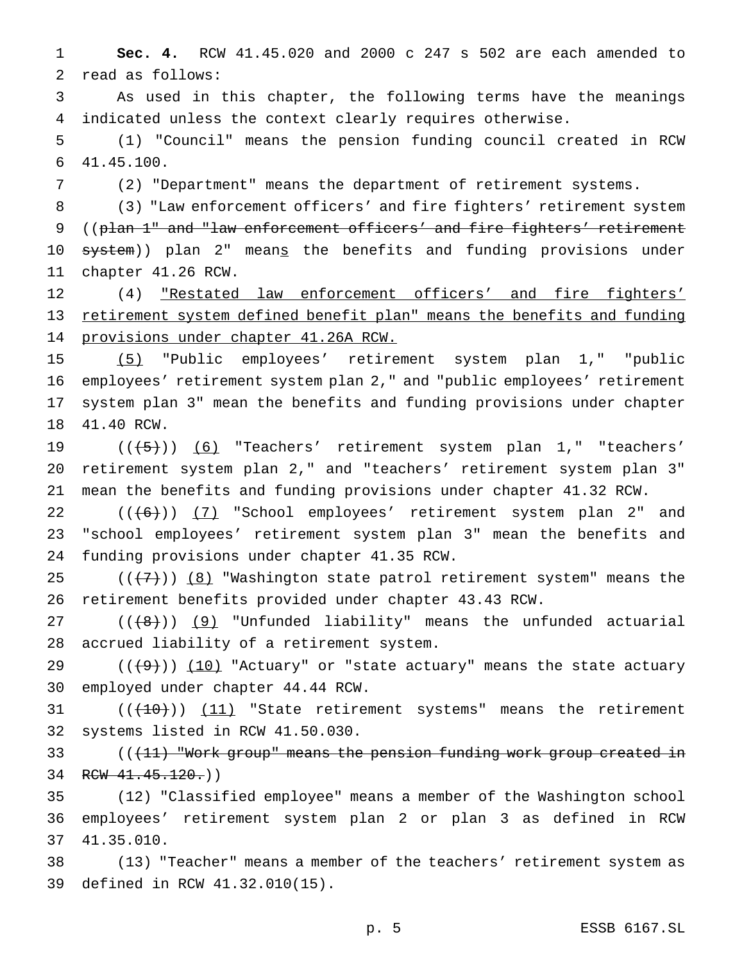**Sec. 4.** RCW 41.45.020 and 2000 c 247 s 502 are each amended to read as follows:

 As used in this chapter, the following terms have the meanings indicated unless the context clearly requires otherwise.

 (1) "Council" means the pension funding council created in RCW 41.45.100.

(2) "Department" means the department of retirement systems.

 (3) "Law enforcement officers' and fire fighters' retirement system 9 ((plan 1" and "law enforcement officers' and fire fighters' retirement 10 <del>system</del>)) plan 2" mean<u>s</u> the benefits and funding provisions under chapter 41.26 RCW.

12 (4) "Restated law enforcement officers' and fire fighters' retirement system defined benefit plan" means the benefits and funding provisions under chapter 41.26A RCW.

 (5) "Public employees' retirement system plan 1," "public employees' retirement system plan 2," and "public employees' retirement system plan 3" mean the benefits and funding provisions under chapter 41.40 RCW.

19 (((5)) (6) "Teachers' retirement system plan 1," "teachers' retirement system plan 2," and "teachers' retirement system plan 3" mean the benefits and funding provisions under chapter 41.32 RCW.

 $((+6))$   $(7)$  "School employees' retirement system plan 2" and "school employees' retirement system plan 3" mean the benefits and funding provisions under chapter 41.35 RCW.

 $((+7))$   $(8)$  "Washington state patrol retirement system" means the retirement benefits provided under chapter 43.43 RCW.

 $((\{8\})$  (9) "Unfunded liability" means the unfunded actuarial accrued liability of a retirement system.

 $((+9))$   $(10)$  "Actuary" or "state actuary" means the state actuary employed under chapter 44.44 RCW.

31  $((+10))$   $(11)$  "State retirement systems" means the retirement systems listed in RCW 41.50.030.

33 (((11) "Work group" means the pension funding work group created in 34 RCW 41.45.120.)

 (12) "Classified employee" means a member of the Washington school employees' retirement system plan 2 or plan 3 as defined in RCW 41.35.010.

 (13) "Teacher" means a member of the teachers' retirement system as defined in RCW 41.32.010(15).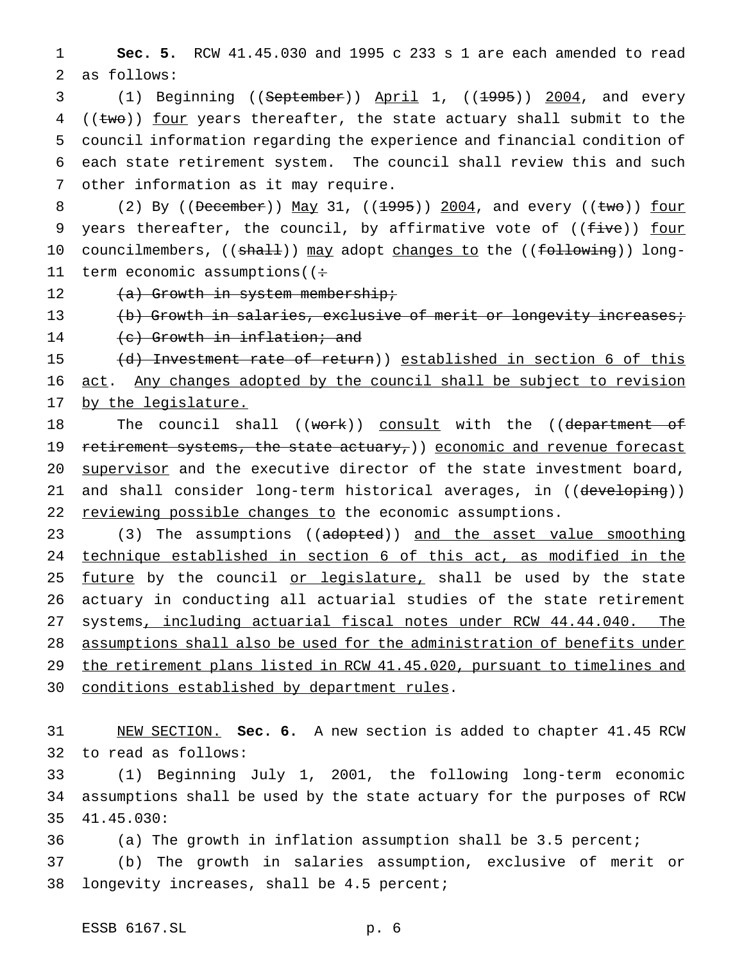1 **Sec. 5.** RCW 41.45.030 and 1995 c 233 s 1 are each amended to read 2 as follows:

3 (1) Beginning ((September)) April 1, ((1995)) 2004, and every (( $t$ wo)) <u>four</u> years thereafter, the state actuary shall submit to the council information regarding the experience and financial condition of each state retirement system. The council shall review this and such other information as it may require.

8 (2) By ((December)) May 31, ((1995)) 2004, and every ((two)) four 9 years thereafter, the council, by affirmative vote of ((five)) four 10 councilmembers, ((shall)) may adopt changes to the ((following)) long-11 term economic assumptions ( $\div$ 

12  $(a)$  Growth in system membership;

13 (b) Growth in salaries, exclusive of merit or longevity increases; 14 (c) Growth in inflation; and

15 (d) Investment rate of return)) established in section 6 of this 16 act. Any changes adopted by the council shall be subject to revision 17 by the legislature.

18 The council shall ((work)) consult with the ((department of 19 retirement systems, the state actuary, ) economic and revenue forecast 20 supervisor and the executive director of the state investment board, 21 and shall consider long-term historical averages, in ((developing)) 22 reviewing possible changes to the economic assumptions.

23 (3) The assumptions ((adopted)) and the asset value smoothing 24 technique established in section 6 of this act, as modified in the 25 future by the council or legislature, shall be used by the state 26 actuary in conducting all actuarial studies of the state retirement 27 systems, including actuarial fiscal notes under RCW 44.44.040. The 28 assumptions shall also be used for the administration of benefits under 29 the retirement plans listed in RCW 41.45.020, pursuant to timelines and 30 conditions established by department rules.

31 NEW SECTION. **Sec. 6.** A new section is added to chapter 41.45 RCW 32 to read as follows:

33 (1) Beginning July 1, 2001, the following long-term economic 34 assumptions shall be used by the state actuary for the purposes of RCW 35 41.45.030:

36 (a) The growth in inflation assumption shall be 3.5 percent;

37 (b) The growth in salaries assumption, exclusive of merit or 38 longevity increases, shall be 4.5 percent;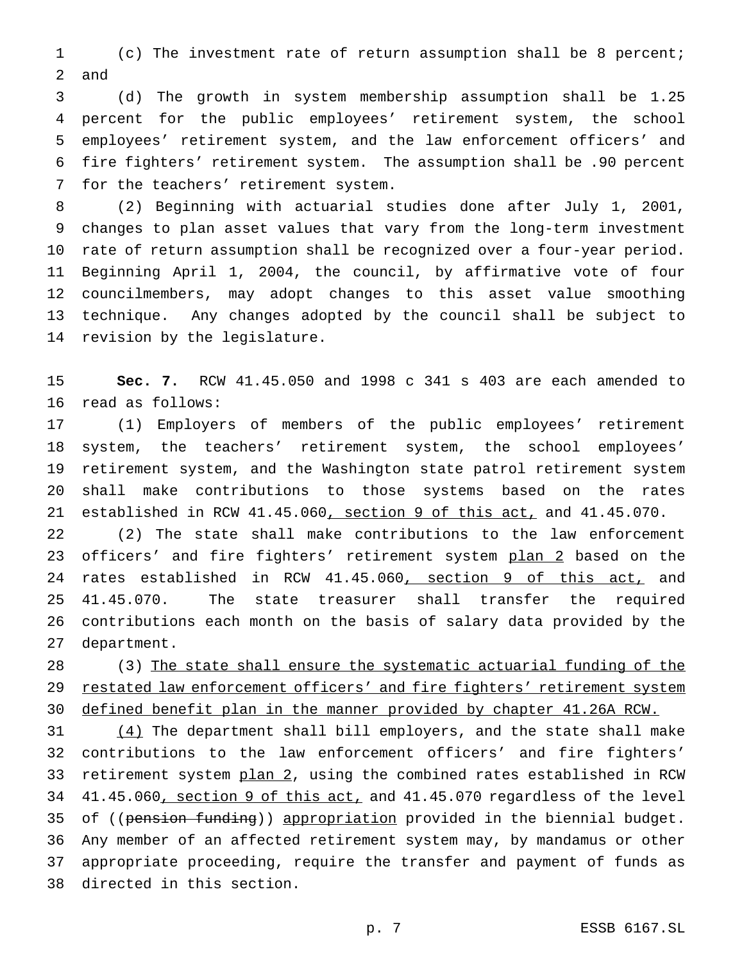(c) The investment rate of return assumption shall be 8 percent; and

 (d) The growth in system membership assumption shall be 1.25 percent for the public employees' retirement system, the school employees' retirement system, and the law enforcement officers' and fire fighters' retirement system. The assumption shall be .90 percent for the teachers' retirement system.

 (2) Beginning with actuarial studies done after July 1, 2001, changes to plan asset values that vary from the long-term investment rate of return assumption shall be recognized over a four-year period. Beginning April 1, 2004, the council, by affirmative vote of four councilmembers, may adopt changes to this asset value smoothing technique. Any changes adopted by the council shall be subject to revision by the legislature.

 **Sec. 7.** RCW 41.45.050 and 1998 c 341 s 403 are each amended to read as follows:

 (1) Employers of members of the public employees' retirement system, the teachers' retirement system, the school employees' retirement system, and the Washington state patrol retirement system shall make contributions to those systems based on the rates 21 established in RCW 41.45.060, section 9 of this act, and 41.45.070.

 (2) The state shall make contributions to the law enforcement 23 officers' and fire fighters' retirement system plan 2 based on the 24 rates established in RCW 41.45.060, section 9 of this act, and 41.45.070. The state treasurer shall transfer the required contributions each month on the basis of salary data provided by the department.

28 (3) The state shall ensure the systematic actuarial funding of the 29 restated law enforcement officers' and fire fighters' retirement system defined benefit plan in the manner provided by chapter 41.26A RCW.

31 (4) The department shall bill employers, and the state shall make contributions to the law enforcement officers' and fire fighters' 33 retirement system plan 2, using the combined rates established in RCW 41.45.060, section 9 of this act, and 41.45.070 regardless of the level 35 of ((pension funding)) appropriation provided in the biennial budget. Any member of an affected retirement system may, by mandamus or other appropriate proceeding, require the transfer and payment of funds as directed in this section.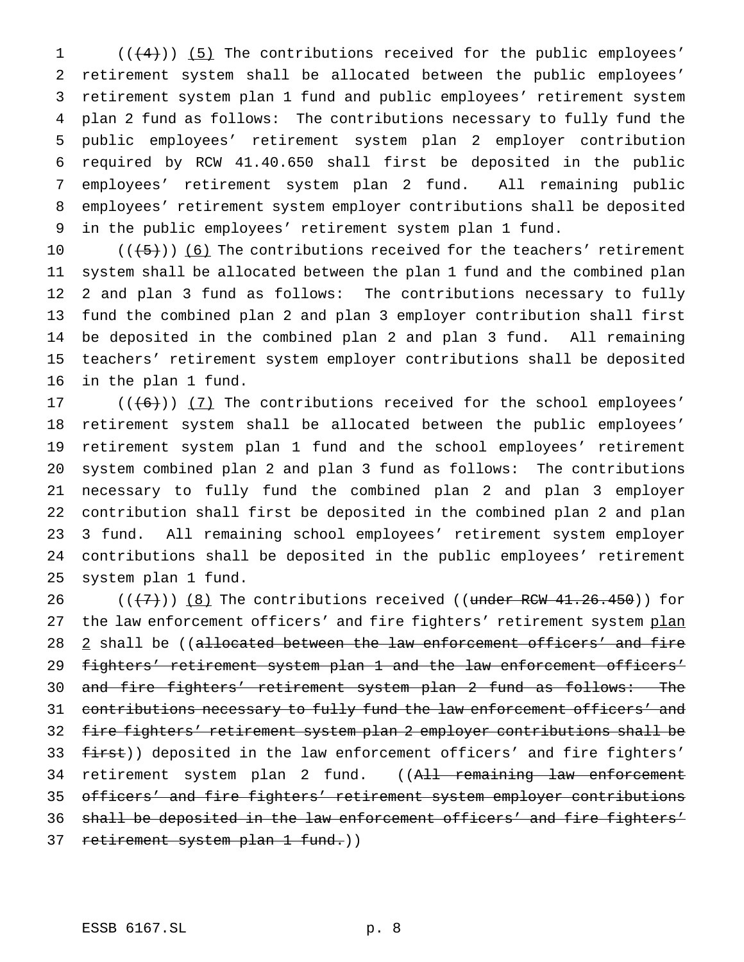1 (((4))) (5) The contributions received for the public employees' retirement system shall be allocated between the public employees' retirement system plan 1 fund and public employees' retirement system plan 2 fund as follows: The contributions necessary to fully fund the public employees' retirement system plan 2 employer contribution required by RCW 41.40.650 shall first be deposited in the public employees' retirement system plan 2 fund. All remaining public employees' retirement system employer contributions shall be deposited in the public employees' retirement system plan 1 fund.

 $((+5))$  (6) The contributions received for the teachers' retirement system shall be allocated between the plan 1 fund and the combined plan 2 and plan 3 fund as follows: The contributions necessary to fully fund the combined plan 2 and plan 3 employer contribution shall first be deposited in the combined plan 2 and plan 3 fund. All remaining teachers' retirement system employer contributions shall be deposited in the plan 1 fund.

 $((+6))$   $(7)$  The contributions received for the school employees' retirement system shall be allocated between the public employees' retirement system plan 1 fund and the school employees' retirement system combined plan 2 and plan 3 fund as follows: The contributions necessary to fully fund the combined plan 2 and plan 3 employer contribution shall first be deposited in the combined plan 2 and plan 3 fund. All remaining school employees' retirement system employer contributions shall be deposited in the public employees' retirement system plan 1 fund.

 $((+7))$   $(8)$  The contributions received ((under RCW 41.26.450)) for 27 the law enforcement officers' and fire fighters' retirement system plan 28 2 shall be ((allocated between the law enforcement officers' and fire 29 fighters' retirement system plan 1 and the law enforcement officers' and fire fighters' retirement system plan 2 fund as follows: The 31 contributions necessary to fully fund the law enforcement officers' and fire fighters' retirement system plan 2 employer contributions shall be 33 first)) deposited in the law enforcement officers' and fire fighters' 34 retirement system plan 2 fund. ((All remaining law enforcement officers' and fire fighters' retirement system employer contributions shall be deposited in the law enforcement officers' and fire fighters' 37 retirement system plan 1 fund.))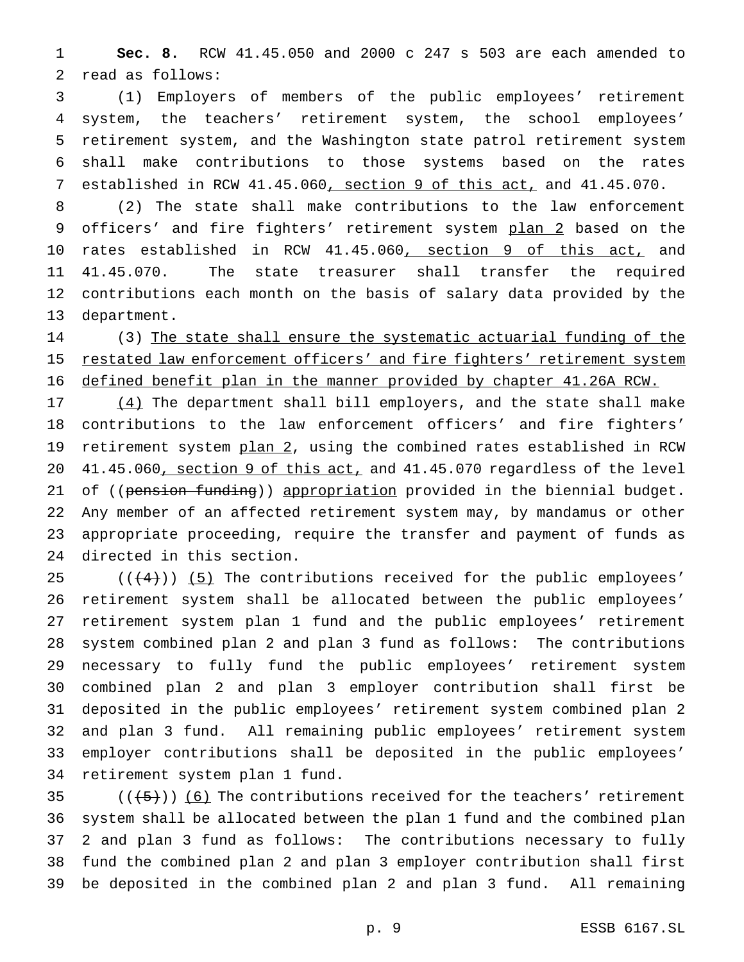**Sec. 8.** RCW 41.45.050 and 2000 c 247 s 503 are each amended to read as follows:

 (1) Employers of members of the public employees' retirement system, the teachers' retirement system, the school employees' retirement system, and the Washington state patrol retirement system shall make contributions to those systems based on the rates 7 established in RCW 41.45.060, section 9 of this act, and 41.45.070.

 (2) The state shall make contributions to the law enforcement 9 officers' and fire fighters' retirement system plan 2 based on the 10 rates established in RCW 41.45.060, section 9 of this act, and 41.45.070. The state treasurer shall transfer the required contributions each month on the basis of salary data provided by the department.

 (3) The state shall ensure the systematic actuarial funding of the 15 restated law enforcement officers' and fire fighters' retirement system defined benefit plan in the manner provided by chapter 41.26A RCW.

17 (4) The department shall bill employers, and the state shall make contributions to the law enforcement officers' and fire fighters' 19 retirement system plan 2, using the combined rates established in RCW 41.45.060, section 9 of this act, and 41.45.070 regardless of the level 21 of ((pension funding)) appropriation provided in the biennial budget. Any member of an affected retirement system may, by mandamus or other appropriate proceeding, require the transfer and payment of funds as directed in this section.

 $((+4))$   $(5)$  The contributions received for the public employees' retirement system shall be allocated between the public employees' retirement system plan 1 fund and the public employees' retirement system combined plan 2 and plan 3 fund as follows: The contributions necessary to fully fund the public employees' retirement system combined plan 2 and plan 3 employer contribution shall first be deposited in the public employees' retirement system combined plan 2 and plan 3 fund. All remaining public employees' retirement system employer contributions shall be deposited in the public employees' retirement system plan 1 fund.

 $((+5))$  (6) The contributions received for the teachers' retirement system shall be allocated between the plan 1 fund and the combined plan 2 and plan 3 fund as follows: The contributions necessary to fully fund the combined plan 2 and plan 3 employer contribution shall first be deposited in the combined plan 2 and plan 3 fund. All remaining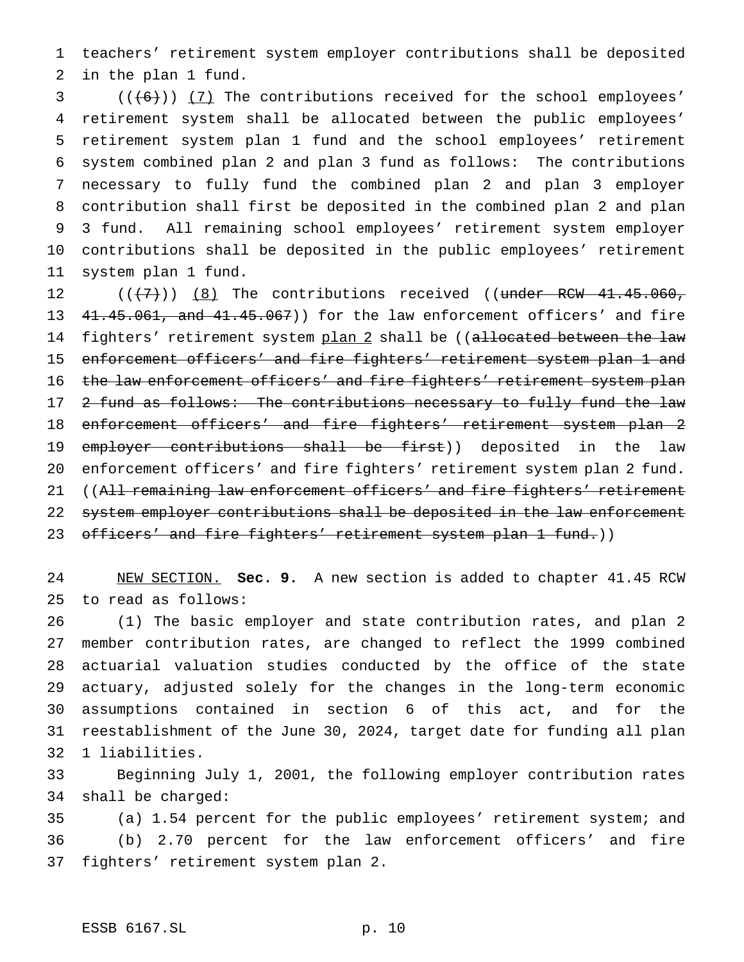teachers' retirement system employer contributions shall be deposited in the plan 1 fund.

 ( $(\overline{6})$ ) (7) The contributions received for the school employees' retirement system shall be allocated between the public employees' retirement system plan 1 fund and the school employees' retirement system combined plan 2 and plan 3 fund as follows: The contributions necessary to fully fund the combined plan 2 and plan 3 employer contribution shall first be deposited in the combined plan 2 and plan 3 fund. All remaining school employees' retirement system employer contributions shall be deposited in the public employees' retirement system plan 1 fund.

  $((+7))$   $(8)$  The contributions received ((under RCW 41.45.060, 41.45.061, and 41.45.067)) for the law enforcement officers' and fire 14 fighters' retirement system plan 2 shall be ((allocated between the law enforcement officers' and fire fighters' retirement system plan 1 and 16 the law enforcement officers' and fire fighters' retirement system plan 17 2 fund as follows: The contributions necessary to fully fund the law enforcement officers' and fire fighters' retirement system plan 2 19 employer contributions shall be first)) deposited in the law enforcement officers' and fire fighters' retirement system plan 2 fund. 21 ((All remaining law enforcement officers' and fire fighters' retirement 22 system employer contributions shall be deposited in the law enforcement 23 officers' and fire fighters' retirement system plan 1 fund.))

 NEW SECTION. **Sec. 9.** A new section is added to chapter 41.45 RCW to read as follows:

 (1) The basic employer and state contribution rates, and plan 2 member contribution rates, are changed to reflect the 1999 combined actuarial valuation studies conducted by the office of the state actuary, adjusted solely for the changes in the long-term economic assumptions contained in section 6 of this act, and for the reestablishment of the June 30, 2024, target date for funding all plan 1 liabilities.

 Beginning July 1, 2001, the following employer contribution rates shall be charged:

 (a) 1.54 percent for the public employees' retirement system; and (b) 2.70 percent for the law enforcement officers' and fire fighters' retirement system plan 2.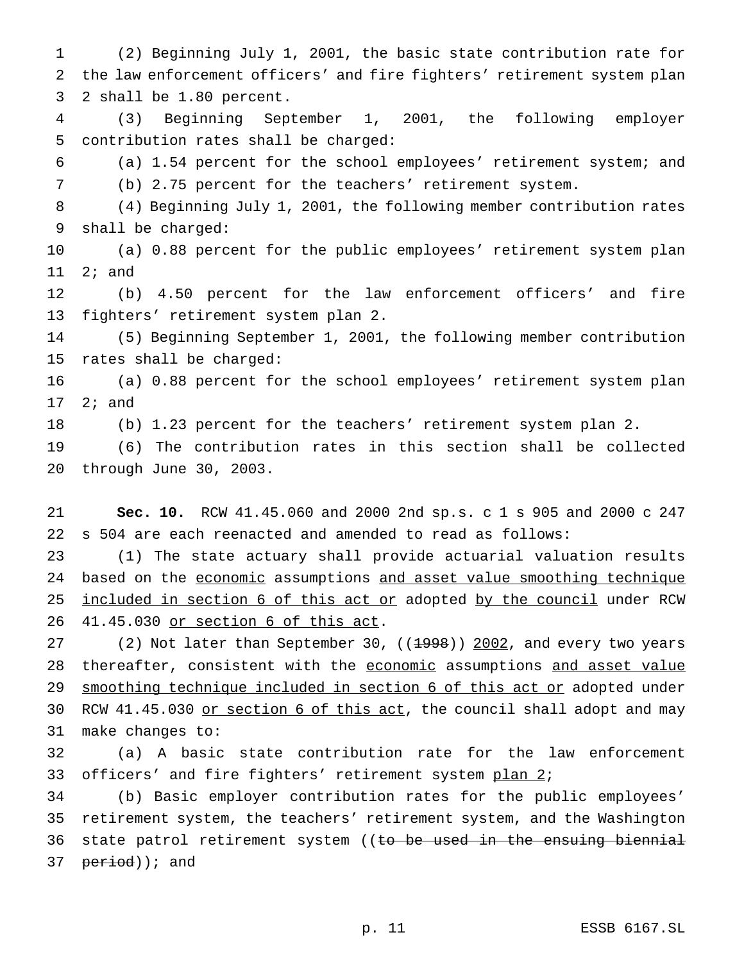(2) Beginning July 1, 2001, the basic state contribution rate for the law enforcement officers' and fire fighters' retirement system plan 2 shall be 1.80 percent.

 (3) Beginning September 1, 2001, the following employer contribution rates shall be charged:

 (a) 1.54 percent for the school employees' retirement system; and (b) 2.75 percent for the teachers' retirement system.

 (4) Beginning July 1, 2001, the following member contribution rates shall be charged:

 (a) 0.88 percent for the public employees' retirement system plan 2; and

 (b) 4.50 percent for the law enforcement officers' and fire fighters' retirement system plan 2.

 (5) Beginning September 1, 2001, the following member contribution rates shall be charged:

 (a) 0.88 percent for the school employees' retirement system plan 2; and

(b) 1.23 percent for the teachers' retirement system plan 2.

 (6) The contribution rates in this section shall be collected through June 30, 2003.

 **Sec. 10.** RCW 41.45.060 and 2000 2nd sp.s. c 1 s 905 and 2000 c 247 s 504 are each reenacted and amended to read as follows:

 (1) The state actuary shall provide actuarial valuation results 24 based on the economic assumptions and asset value smoothing technique 25 included in section 6 of this act or adopted by the council under RCW 41.45.030 or section 6 of this act.

27 (2) Not later than September 30, ((1998)) 2002, and every two years 28 thereafter, consistent with the economic assumptions and asset value 29 smoothing technique included in section 6 of this act or adopted under 30 RCW 41.45.030 or section 6 of this act, the council shall adopt and may make changes to:

 (a) A basic state contribution rate for the law enforcement 33 officers' and fire fighters' retirement system plan 2;

 (b) Basic employer contribution rates for the public employees' retirement system, the teachers' retirement system, and the Washington 36 state patrol retirement system ((to be used in the ensuing biennial 37 period)); and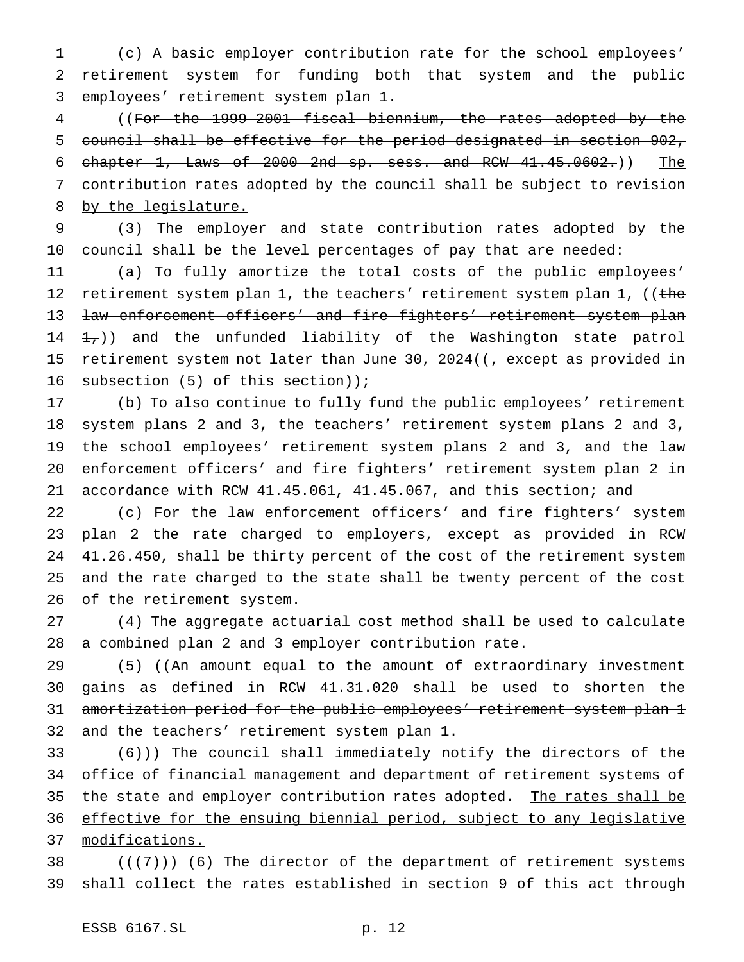(c) A basic employer contribution rate for the school employees' retirement system for funding both that system and the public employees' retirement system plan 1.

 ((For the 1999-2001 fiscal biennium, the rates adopted by the council shall be effective for the period designated in section 902, chapter 1, Laws of 2000 2nd sp. sess. and RCW 41.45.0602.)) The contribution rates adopted by the council shall be subject to revision by the legislature.

 (3) The employer and state contribution rates adopted by the council shall be the level percentages of pay that are needed:

 (a) To fully amortize the total costs of the public employees' 12 retirement system plan 1, the teachers' retirement system plan 1, ((the 13 <del>law enforcement officers' and fire fighters' retirement system plan</del> 14  $\pm$ , and the unfunded liability of the Washington state patrol 15 retirement system not later than June 30, 2024((<del>, except as provided in</del> 16 subsection (5) of this section));

 (b) To also continue to fully fund the public employees' retirement system plans 2 and 3, the teachers' retirement system plans 2 and 3, the school employees' retirement system plans 2 and 3, and the law enforcement officers' and fire fighters' retirement system plan 2 in accordance with RCW 41.45.061, 41.45.067, and this section; and

 (c) For the law enforcement officers' and fire fighters' system plan 2 the rate charged to employers, except as provided in RCW 41.26.450, shall be thirty percent of the cost of the retirement system and the rate charged to the state shall be twenty percent of the cost of the retirement system.

 (4) The aggregate actuarial cost method shall be used to calculate a combined plan 2 and 3 employer contribution rate.

29 (5) ((An amount equal to the amount of extraordinary investment gains as defined in RCW 41.31.020 shall be used to shorten the amortization period for the public employees' retirement system plan 1 32 and the teachers' retirement system plan 1.

33  $(6)$ )) The council shall immediately notify the directors of the office of financial management and department of retirement systems of 35 the state and employer contribution rates adopted. The rates shall be effective for the ensuing biennial period, subject to any legislative 37 modifications.

38  $((+7))$  (6) The director of the department of retirement systems 39 shall collect the rates established in section 9 of this act through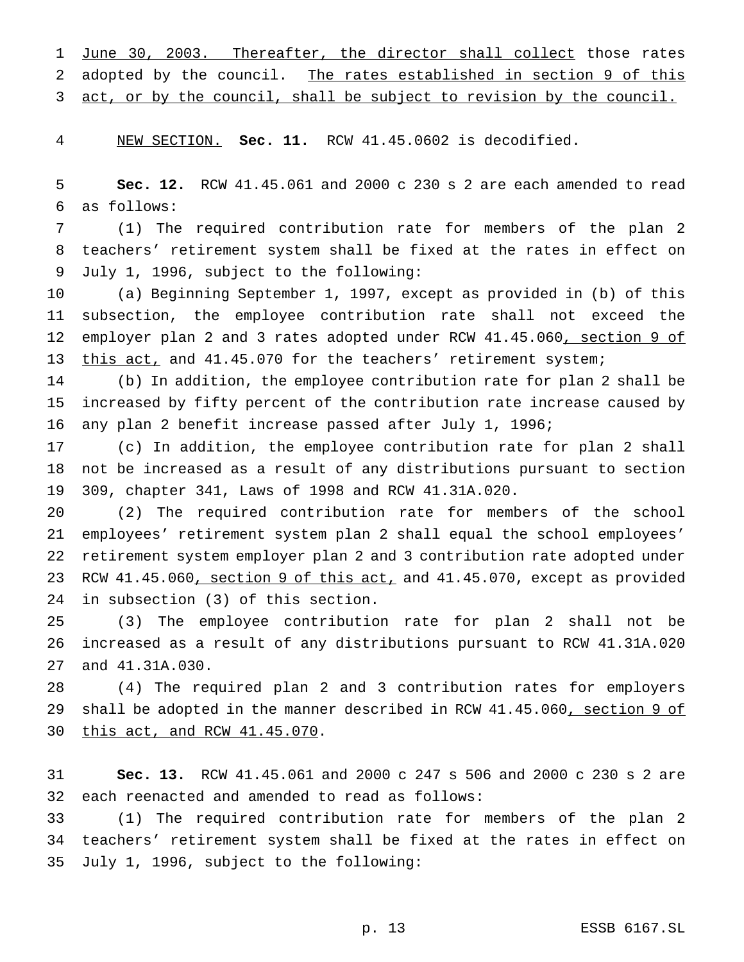1 June 30, 2003. Thereafter, the director shall collect those rates adopted by the council. The rates established in section 9 of this 3 act, or by the council, shall be subject to revision by the council.

NEW SECTION. **Sec. 11.** RCW 41.45.0602 is decodified.

 **Sec. 12.** RCW 41.45.061 and 2000 c 230 s 2 are each amended to read as follows:

 (1) The required contribution rate for members of the plan 2 teachers' retirement system shall be fixed at the rates in effect on July 1, 1996, subject to the following:

 (a) Beginning September 1, 1997, except as provided in (b) of this subsection, the employee contribution rate shall not exceed the 12 employer plan 2 and 3 rates adopted under RCW 41.45.060, section 9 of 13 this act, and 41.45.070 for the teachers' retirement system;

 (b) In addition, the employee contribution rate for plan 2 shall be increased by fifty percent of the contribution rate increase caused by any plan 2 benefit increase passed after July 1, 1996;

 (c) In addition, the employee contribution rate for plan 2 shall not be increased as a result of any distributions pursuant to section 309, chapter 341, Laws of 1998 and RCW 41.31A.020.

 (2) The required contribution rate for members of the school employees' retirement system plan 2 shall equal the school employees' retirement system employer plan 2 and 3 contribution rate adopted under 23 RCW 41.45.060, section 9 of this act, and 41.45.070, except as provided in subsection (3) of this section.

 (3) The employee contribution rate for plan 2 shall not be increased as a result of any distributions pursuant to RCW 41.31A.020 and 41.31A.030.

 (4) The required plan 2 and 3 contribution rates for employers 29 shall be adopted in the manner described in RCW 41.45.060, section 9 of this act, and RCW 41.45.070.

 **Sec. 13.** RCW 41.45.061 and 2000 c 247 s 506 and 2000 c 230 s 2 are each reenacted and amended to read as follows:

 (1) The required contribution rate for members of the plan 2 teachers' retirement system shall be fixed at the rates in effect on July 1, 1996, subject to the following: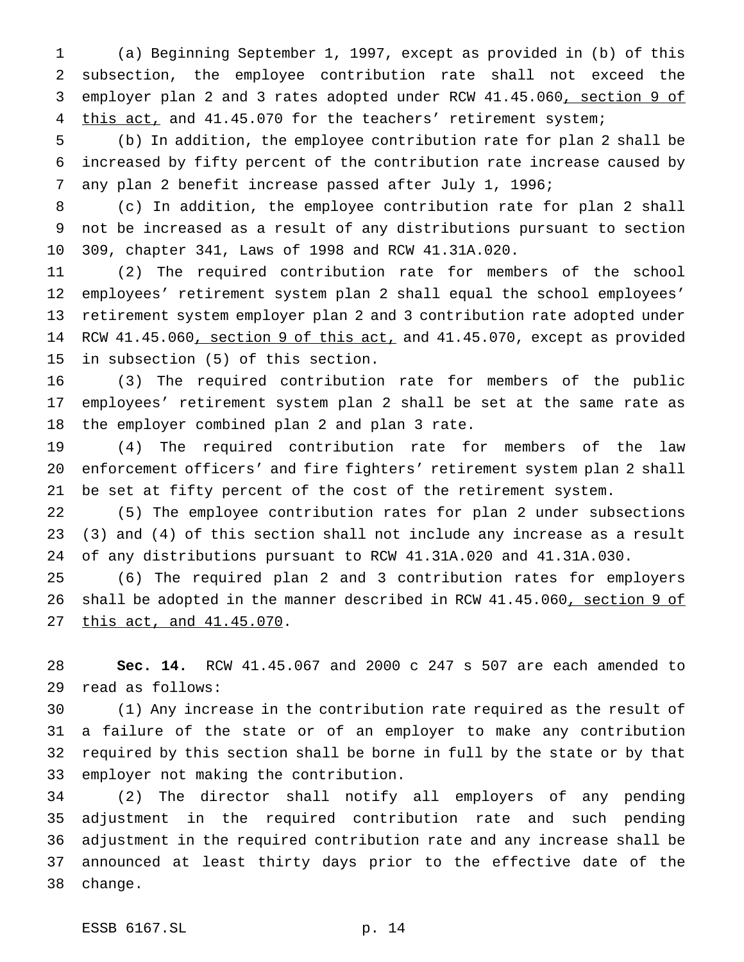(a) Beginning September 1, 1997, except as provided in (b) of this subsection, the employee contribution rate shall not exceed the employer plan 2 and 3 rates adopted under RCW 41.45.060, section 9 of 4 this act, and 41.45.070 for the teachers' retirement system;

 (b) In addition, the employee contribution rate for plan 2 shall be increased by fifty percent of the contribution rate increase caused by any plan 2 benefit increase passed after July 1, 1996;

 (c) In addition, the employee contribution rate for plan 2 shall not be increased as a result of any distributions pursuant to section 309, chapter 341, Laws of 1998 and RCW 41.31A.020.

 (2) The required contribution rate for members of the school employees' retirement system plan 2 shall equal the school employees' retirement system employer plan 2 and 3 contribution rate adopted under 14 RCW 41.45.060, section 9 of this act, and 41.45.070, except as provided in subsection (5) of this section.

 (3) The required contribution rate for members of the public employees' retirement system plan 2 shall be set at the same rate as the employer combined plan 2 and plan 3 rate.

 (4) The required contribution rate for members of the law enforcement officers' and fire fighters' retirement system plan 2 shall be set at fifty percent of the cost of the retirement system.

 (5) The employee contribution rates for plan 2 under subsections (3) and (4) of this section shall not include any increase as a result of any distributions pursuant to RCW 41.31A.020 and 41.31A.030.

 (6) The required plan 2 and 3 contribution rates for employers 26 shall be adopted in the manner described in RCW 41.45.060, section 9 of this act, and 41.45.070.

 **Sec. 14.** RCW 41.45.067 and 2000 c 247 s 507 are each amended to read as follows:

 (1) Any increase in the contribution rate required as the result of a failure of the state or of an employer to make any contribution required by this section shall be borne in full by the state or by that employer not making the contribution.

 (2) The director shall notify all employers of any pending adjustment in the required contribution rate and such pending adjustment in the required contribution rate and any increase shall be announced at least thirty days prior to the effective date of the change.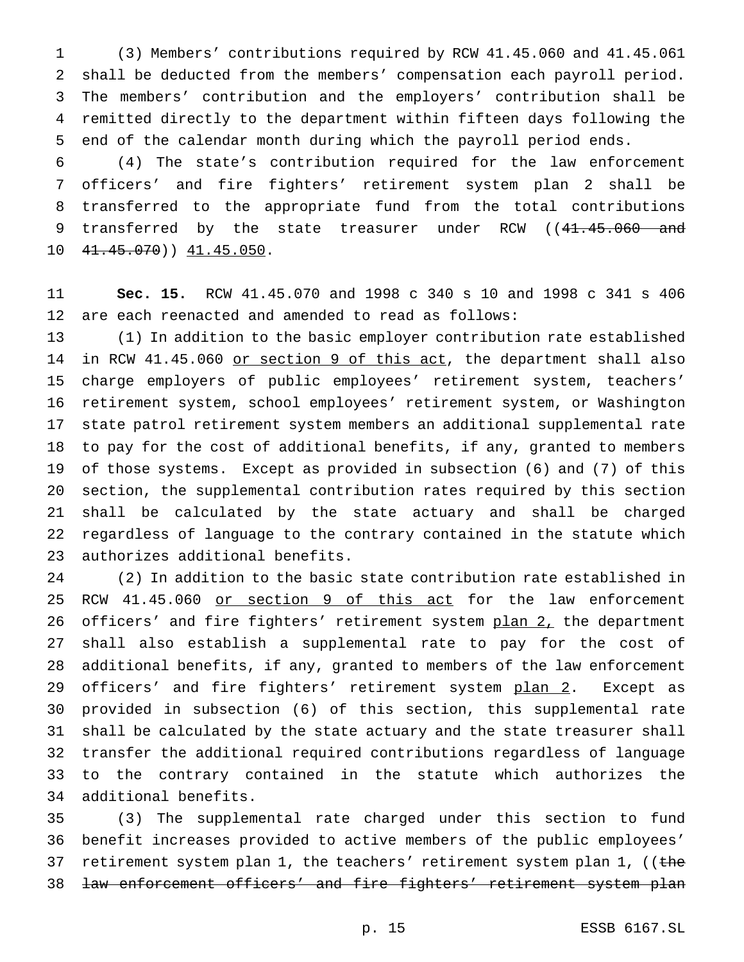(3) Members' contributions required by RCW 41.45.060 and 41.45.061 shall be deducted from the members' compensation each payroll period. The members' contribution and the employers' contribution shall be remitted directly to the department within fifteen days following the end of the calendar month during which the payroll period ends.

 (4) The state's contribution required for the law enforcement officers' and fire fighters' retirement system plan 2 shall be transferred to the appropriate fund from the total contributions 9 transferred by the state treasurer under RCW ((41.45.060 and 10 41.45.070) 41.45.050.

 **Sec. 15.** RCW 41.45.070 and 1998 c 340 s 10 and 1998 c 341 s 406 are each reenacted and amended to read as follows:

 (1) In addition to the basic employer contribution rate established 14 in RCW 41.45.060 or section 9 of this act, the department shall also charge employers of public employees' retirement system, teachers' retirement system, school employees' retirement system, or Washington state patrol retirement system members an additional supplemental rate to pay for the cost of additional benefits, if any, granted to members of those systems. Except as provided in subsection (6) and (7) of this section, the supplemental contribution rates required by this section shall be calculated by the state actuary and shall be charged regardless of language to the contrary contained in the statute which authorizes additional benefits.

 (2) In addition to the basic state contribution rate established in 25 RCW 41.45.060 or section 9 of this act for the law enforcement 26 officers' and fire fighters' retirement system plan 2, the department shall also establish a supplemental rate to pay for the cost of additional benefits, if any, granted to members of the law enforcement 29 officers' and fire fighters' retirement system plan 2. Except as provided in subsection (6) of this section, this supplemental rate shall be calculated by the state actuary and the state treasurer shall transfer the additional required contributions regardless of language to the contrary contained in the statute which authorizes the additional benefits.

 (3) The supplemental rate charged under this section to fund benefit increases provided to active members of the public employees' 37 retirement system plan 1, the teachers' retirement system plan 1, ((the law enforcement officers' and fire fighters' retirement system plan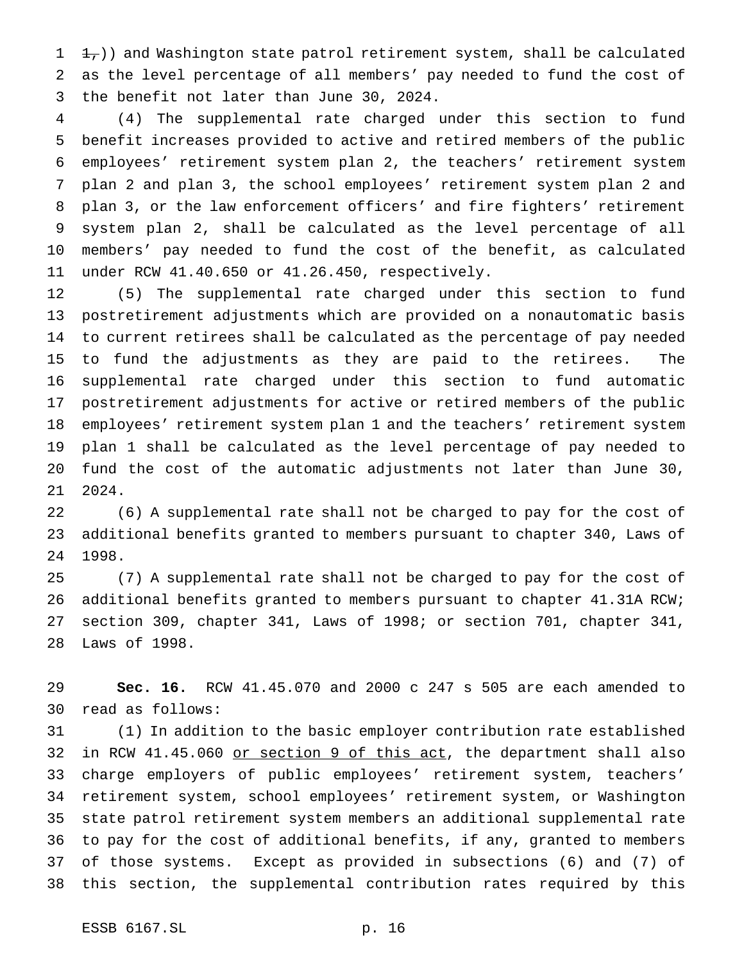$1 +$ )) and Washington state patrol retirement system, shall be calculated as the level percentage of all members' pay needed to fund the cost of the benefit not later than June 30, 2024.

 (4) The supplemental rate charged under this section to fund benefit increases provided to active and retired members of the public employees' retirement system plan 2, the teachers' retirement system plan 2 and plan 3, the school employees' retirement system plan 2 and plan 3, or the law enforcement officers' and fire fighters' retirement system plan 2, shall be calculated as the level percentage of all members' pay needed to fund the cost of the benefit, as calculated under RCW 41.40.650 or 41.26.450, respectively.

 (5) The supplemental rate charged under this section to fund postretirement adjustments which are provided on a nonautomatic basis to current retirees shall be calculated as the percentage of pay needed to fund the adjustments as they are paid to the retirees. The supplemental rate charged under this section to fund automatic postretirement adjustments for active or retired members of the public employees' retirement system plan 1 and the teachers' retirement system plan 1 shall be calculated as the level percentage of pay needed to fund the cost of the automatic adjustments not later than June 30, 2024.

 (6) A supplemental rate shall not be charged to pay for the cost of additional benefits granted to members pursuant to chapter 340, Laws of 1998.

 (7) A supplemental rate shall not be charged to pay for the cost of additional benefits granted to members pursuant to chapter 41.31A RCW; section 309, chapter 341, Laws of 1998; or section 701, chapter 341, Laws of 1998.

 **Sec. 16.** RCW 41.45.070 and 2000 c 247 s 505 are each amended to read as follows:

 (1) In addition to the basic employer contribution rate established 32 in RCW 41.45.060 or section 9 of this act, the department shall also charge employers of public employees' retirement system, teachers' retirement system, school employees' retirement system, or Washington state patrol retirement system members an additional supplemental rate to pay for the cost of additional benefits, if any, granted to members of those systems. Except as provided in subsections (6) and (7) of this section, the supplemental contribution rates required by this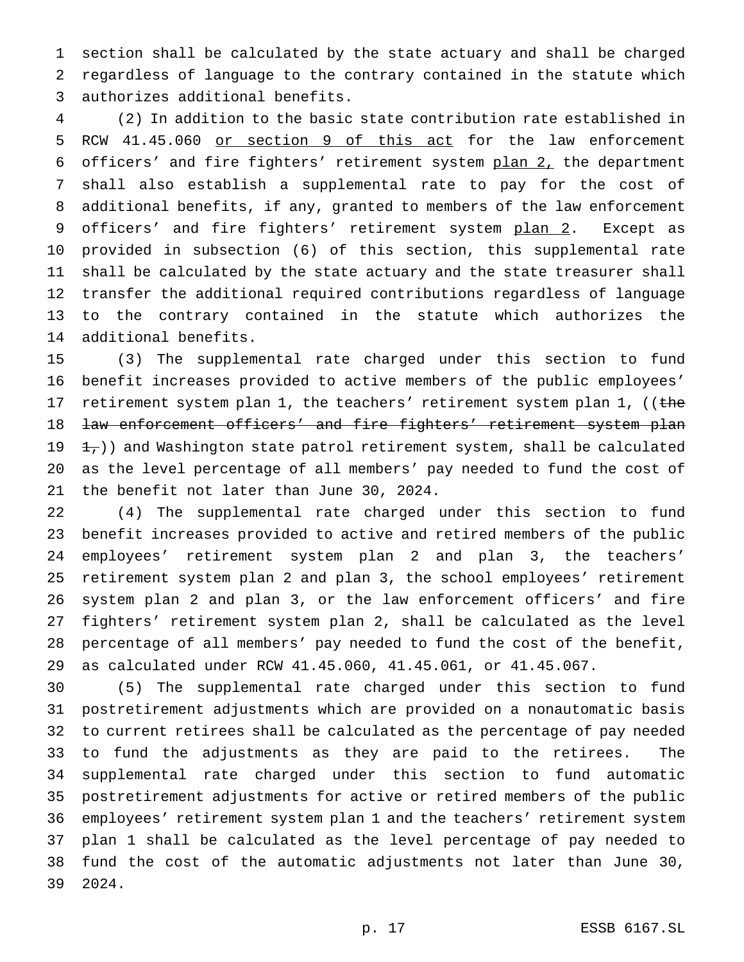section shall be calculated by the state actuary and shall be charged regardless of language to the contrary contained in the statute which authorizes additional benefits.

 (2) In addition to the basic state contribution rate established in RCW 41.45.060 or section 9 of this act for the law enforcement officers' and fire fighters' retirement system plan 2, the department shall also establish a supplemental rate to pay for the cost of additional benefits, if any, granted to members of the law enforcement 9 officers' and fire fighters' retirement system plan 2. Except as provided in subsection (6) of this section, this supplemental rate shall be calculated by the state actuary and the state treasurer shall transfer the additional required contributions regardless of language to the contrary contained in the statute which authorizes the additional benefits.

 (3) The supplemental rate charged under this section to fund benefit increases provided to active members of the public employees' 17 retirement system plan 1, the teachers' retirement system plan 1, ((the 18 law enforcement officers' and fire fighters' retirement system plan  $\pm$ , ) and Washington state patrol retirement system, shall be calculated as the level percentage of all members' pay needed to fund the cost of the benefit not later than June 30, 2024.

 (4) The supplemental rate charged under this section to fund benefit increases provided to active and retired members of the public employees' retirement system plan 2 and plan 3, the teachers' retirement system plan 2 and plan 3, the school employees' retirement system plan 2 and plan 3, or the law enforcement officers' and fire fighters' retirement system plan 2, shall be calculated as the level percentage of all members' pay needed to fund the cost of the benefit, as calculated under RCW 41.45.060, 41.45.061, or 41.45.067.

 (5) The supplemental rate charged under this section to fund postretirement adjustments which are provided on a nonautomatic basis to current retirees shall be calculated as the percentage of pay needed to fund the adjustments as they are paid to the retirees. The supplemental rate charged under this section to fund automatic postretirement adjustments for active or retired members of the public employees' retirement system plan 1 and the teachers' retirement system plan 1 shall be calculated as the level percentage of pay needed to fund the cost of the automatic adjustments not later than June 30, 2024.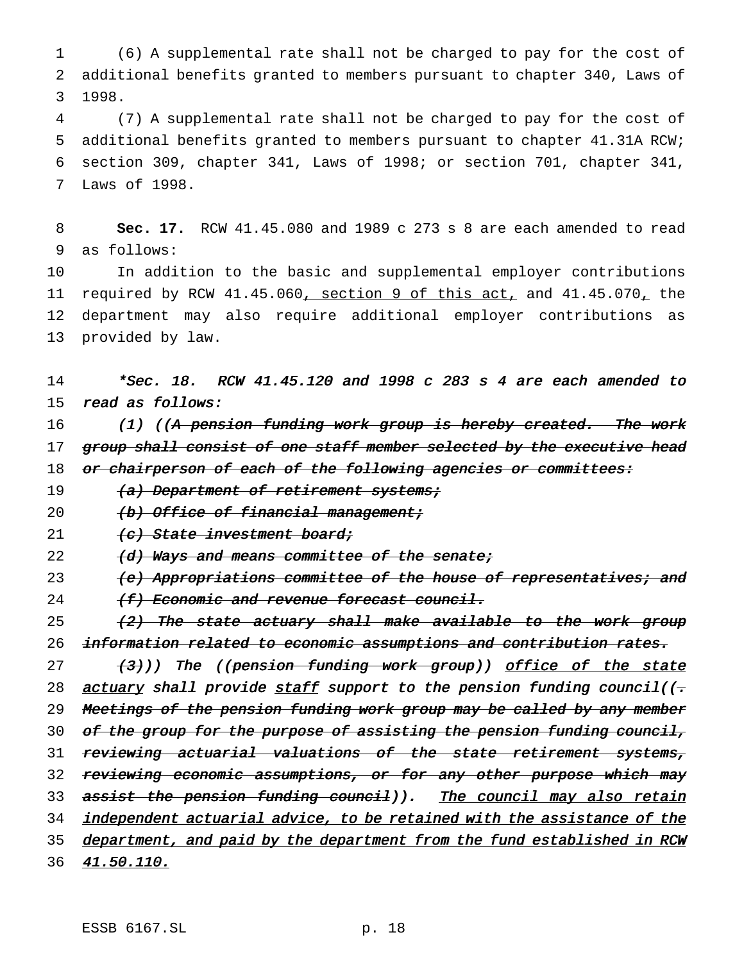1 (6) A supplemental rate shall not be charged to pay for the cost of 2 additional benefits granted to members pursuant to chapter 340, Laws of 3 1998.

 (7) A supplemental rate shall not be charged to pay for the cost of additional benefits granted to members pursuant to chapter 41.31A RCW; section 309, chapter 341, Laws of 1998; or section 701, chapter 341, Laws of 1998.

8 **Sec. 17.** RCW 41.45.080 and 1989 c 273 s 8 are each amended to read 9 as follows:

 In addition to the basic and supplemental employer contributions 11 required by RCW 41.45.060, section 9 of this act, and 41.45.070, the department may also require additional employer contributions as provided by law.

# 14 \*Sec. 18. RCW 41.45.120 and <sup>1998</sup> <sup>c</sup> <sup>283</sup> <sup>s</sup> <sup>4</sup> are each amended to 15 read as follows:

16 (1) ((A pension funding work group is hereby created. The work 17 group shall consist of one staff member selected by the executive head 18 or chairperson of each of the following agencies or committees:

19 (a) Department of retirement systems;

20 (b) Office of financial management;

21 (c) State investment board;

22 (d) Ways and means committee of the senate;

23 (e) Appropriations committee of the house of representatives; and

24 (f) Economic and revenue forecast council.

25  $(2)$  The state actuary shall make available to the work group 26 information related to economic assumptions and contribution rates.

27 (3)) The ((pension funding work group)) office of the state 28 actuary shall provide staff support to the pension funding council( $(-\frac{1}{\sqrt{2}})$ 29 Meetings of the pension funding work group may be called by any member 30 of the group for the purpose of assisting the pension funding council, 31 reviewing actuarial valuations of the state retirement systems, 32 reviewing economic assumptions, or for any other purpose which may 33 assist the pension funding council)). The council may also retain 34 independent actuarial advice, to be retained with the assistance of the 35 department, and paid by the department from the fund established in RCW 36 41.50.110.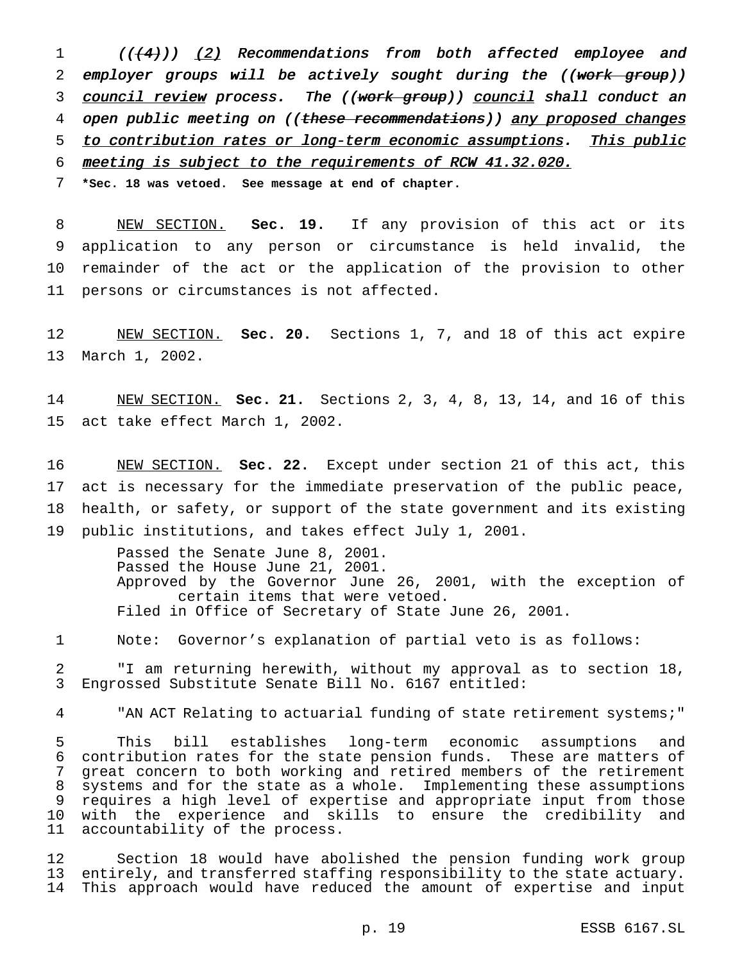1 (((4)) (2) Recommendations from both affected employee and 2 employer groups will be actively sought during the ((work group)) 3 council review process. The ((work group)) council shall conduct an 4 open public meeting on ((these recommendations)) any proposed changes 5 to contribution rates or long-term economic assumptions. This public meeting is subject to the requirements of RCW 41.32.020.

**\*Sec. 18 was vetoed. See message at end of chapter.**

 NEW SECTION. **Sec. 19.** If any provision of this act or its application to any person or circumstance is held invalid, the remainder of the act or the application of the provision to other persons or circumstances is not affected.

 NEW SECTION. **Sec. 20.** Sections 1, 7, and 18 of this act expire March 1, 2002.

 NEW SECTION. **Sec. 21.** Sections 2, 3, 4, 8, 13, 14, and 16 of this act take effect March 1, 2002.

 NEW SECTION. **Sec. 22.** Except under section 21 of this act, this act is necessary for the immediate preservation of the public peace, health, or safety, or support of the state government and its existing public institutions, and takes effect July 1, 2001.

> Passed the Senate June 8, 2001. Passed the House June 21, 2001. Approved by the Governor June 26, 2001, with the exception of certain items that were vetoed. Filed in Office of Secretary of State June 26, 2001.

Note: Governor's explanation of partial veto is as follows:

 "I am returning herewith, without my approval as to section 18, Engrossed Substitute Senate Bill No. 6167 entitled:

"AN ACT Relating to actuarial funding of state retirement systems;"

 This bill establishes long-term economic assumptions and contribution rates for the state pension funds. These are matters of great concern to both working and retired members of the retirement systems and for the state as a whole. Implementing these assumptions requires a high level of expertise and appropriate input from those with the experience and skills to ensure the credibility and accountability of the process.

 Section 18 would have abolished the pension funding work group entirely, and transferred staffing responsibility to the state actuary. This approach would have reduced the amount of expertise and input